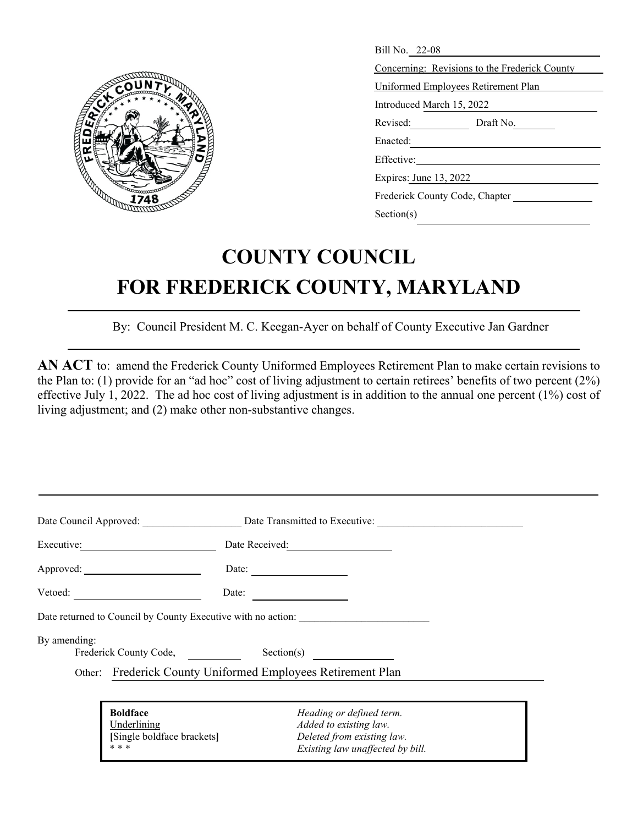

| Bill No. 22-08                                |  |  |  |  |
|-----------------------------------------------|--|--|--|--|
| Concerning: Revisions to the Frederick County |  |  |  |  |
| Uniformed Employees Retirement Plan           |  |  |  |  |
| Introduced March 15, 2022                     |  |  |  |  |
| Revised: Draft No.                            |  |  |  |  |
| Enacted:                                      |  |  |  |  |
| Effective:                                    |  |  |  |  |
| Expires: June 13, 2022                        |  |  |  |  |
| Frederick County Code, Chapter                |  |  |  |  |
| Section(s)                                    |  |  |  |  |

## **COUNTY COUNCIL FOR FREDERICK COUNTY, MARYLAND**

By: Council President M. C. Keegan-Ayer on behalf of County Executive Jan Gardner

**AN ACT** to: amend the Frederick County Uniformed Employees Retirement Plan to make certain revisions to the Plan to: (1) provide for an "ad hoc" cost of living adjustment to certain retirees' benefits of two percent (2%) effective July 1, 2022. The ad hoc cost of living adjustment is in addition to the annual one percent (1%) cost of living adjustment; and (2) make other non-substantive changes.

|              |                                                              | Date Council Approved: Date Transmitted to Executive: |  |
|--------------|--------------------------------------------------------------|-------------------------------------------------------|--|
| Executive:   |                                                              |                                                       |  |
|              |                                                              | Date:                                                 |  |
| Vector:      | Date:                                                        |                                                       |  |
|              | Date returned to Council by County Executive with no action: |                                                       |  |
| By amending: | Frederick County Code,                                       | Section(s)                                            |  |
|              | Other: Frederick County Uniformed Employees Retirement Plan  |                                                       |  |
|              |                                                              |                                                       |  |
|              | <b>Boldface</b>                                              | Heading or defined term.                              |  |
|              | Underlining                                                  | Added to existing law.                                |  |
|              | [Single boldface brackets]                                   | Deleted from existing law.                            |  |
| * * *        |                                                              | Existing law unaffected by bill.                      |  |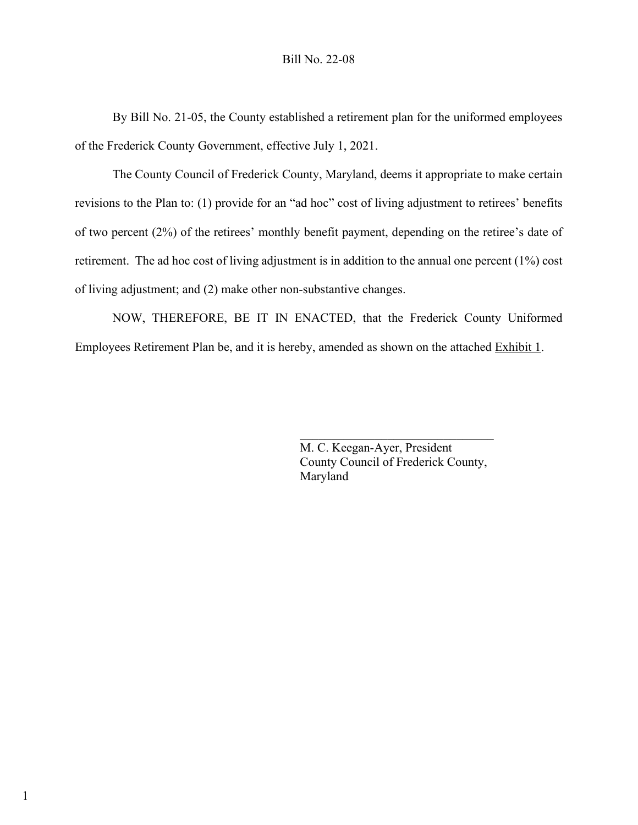By Bill No. 21-05, the County established a retirement plan for the uniformed employees of the Frederick County Government, effective July 1, 2021.

The County Council of Frederick County, Maryland, deems it appropriate to make certain revisions to the Plan to: (1) provide for an "ad hoc" cost of living adjustment to retirees' benefits of two percent (2%) of the retirees' monthly benefit payment, depending on the retiree's date of retirement. The ad hoc cost of living adjustment is in addition to the annual one percent (1%) cost of living adjustment; and (2) make other non-substantive changes.

NOW, THEREFORE, BE IT IN ENACTED, that the Frederick County Uniformed Employees Retirement Plan be, and it is hereby, amended as shown on the attached Exhibit 1.

> M. C. Keegan-Ayer, President County Council of Frederick County, Maryland